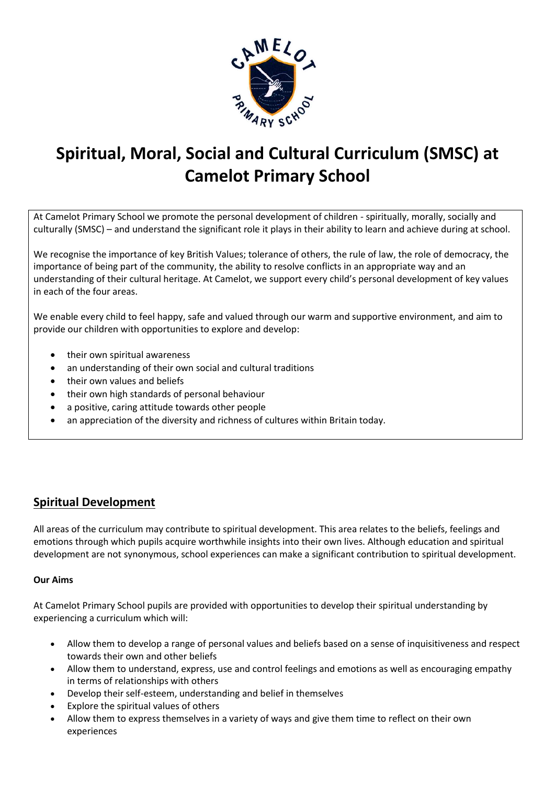

# **Spiritual, Moral, Social and Cultural Curriculum (SMSC) at Camelot Primary School**

At Camelot Primary School we promote the personal development of children - spiritually, morally, socially and culturally (SMSC) – and understand the significant role it plays in their ability to learn and achieve during at school.

We recognise the importance of key British Values; tolerance of others, the rule of law, the role of democracy, the importance of being part of the community, the ability to resolve conflicts in an appropriate way and an understanding of their cultural heritage. At Camelot, we support every child's personal development of key values in each of the four areas.

We enable every child to feel happy, safe and valued through our warm and supportive environment, and aim to provide our children with opportunities to explore and develop:

- their own spiritual awareness
- an understanding of their own social and cultural traditions
- their own values and beliefs
- their own high standards of personal behaviour
- a positive, caring attitude towards other people
- an appreciation of the diversity and richness of cultures within Britain today.

# **Spiritual Development**

All areas of the curriculum may contribute to spiritual development. This area relates to the beliefs, feelings and emotions through which pupils acquire worthwhile insights into their own lives. Although education and spiritual development are not synonymous, school experiences can make a significant contribution to spiritual development.

#### **Our Aims**

At Camelot Primary School pupils are provided with opportunities to develop their spiritual understanding by experiencing a curriculum which will:

- Allow them to develop a range of personal values and beliefs based on a sense of inquisitiveness and respect towards their own and other beliefs
- Allow them to understand, express, use and control feelings and emotions as well as encouraging empathy in terms of relationships with others
- Develop their self-esteem, understanding and belief in themselves
- Explore the spiritual values of others
- Allow them to express themselves in a variety of ways and give them time to reflect on their own experiences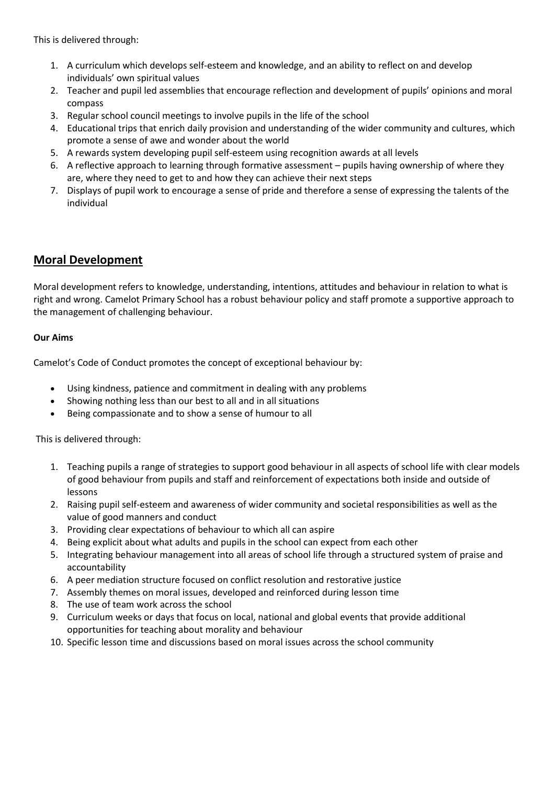This is delivered through:

- 1. A curriculum which develops self-esteem and knowledge, and an ability to reflect on and develop individuals' own spiritual values
- 2. Teacher and pupil led assemblies that encourage reflection and development of pupils' opinions and moral compass
- 3. Regular school council meetings to involve pupils in the life of the school
- 4. Educational trips that enrich daily provision and understanding of the wider community and cultures, which promote a sense of awe and wonder about the world
- 5. A rewards system developing pupil self-esteem using recognition awards at all levels
- 6. A reflective approach to learning through formative assessment pupils having ownership of where they are, where they need to get to and how they can achieve their next steps
- 7. Displays of pupil work to encourage a sense of pride and therefore a sense of expressing the talents of the individual

## **Moral Development**

Moral development refers to knowledge, understanding, intentions, attitudes and behaviour in relation to what is right and wrong. Camelot Primary School has a robust [behaviour policy](http://www.matthew-arnold.surrey.sch.uk/uploads/document/2_0_behaviour-policy.pdf) and staff promote a supportive approach to the management of challenging behaviour.

#### **Our Aims**

Camelot's Code of Conduct promotes the concept of exceptional behaviour by:

- Using kindness, patience and commitment in dealing with any problems
- Showing nothing less than our best to all and in all situations
- Being compassionate and to show a sense of humour to all

This is delivered through:

- 1. Teaching pupils a range of strategies to support good behaviour in all aspects of school life with clear models of good behaviour from pupils and staff and reinforcement of expectations both inside and outside of lessons
- 2. Raising pupil self-esteem and awareness of wider community and societal responsibilities as well as the value of good manners and conduct
- 3. Providing clear expectations of behaviour to which all can aspire
- 4. Being explicit about what adults and pupils in the school can expect from each other
- 5. Integrating behaviour management into all areas of school life through a structured system of praise and accountability
- 6. A peer mediation structure focused on conflict resolution and restorative justice
- 7. Assembly themes on moral issues, developed and reinforced during lesson time
- 8. The use of team work across the school
- 9. Curriculum weeks or days that focus on local, national and global events that provide additional opportunities for teaching about morality and behaviour
- 10. Specific lesson time and discussions based on moral issues across the school community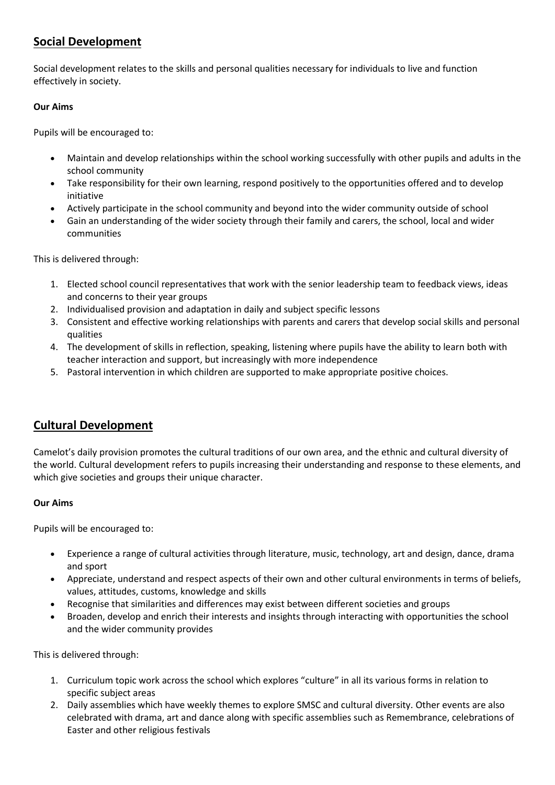## **Social Development**

Social development relates to the skills and personal qualities necessary for individuals to live and function effectively in society.

### **Our Aims**

Pupils will be encouraged to:

- Maintain and develop relationships within the school working successfully with other pupils and adults in the school community
- Take responsibility for their own learning, respond positively to the opportunities offered and to develop initiative
- Actively participate in the school community and beyond into the wider community outside of school
- Gain an understanding of the wider society through their family and carers, the school, local and wider communities

This is delivered through:

- 1. Elected school council representatives that work with the senior leadership team to feedback views, ideas and concerns to their year groups
- 2. Individualised provision and adaptation in daily and subject specific lessons
- 3. Consistent and effective working relationships with parents and carers that develop social skills and personal qualities
- 4. The development of skills in reflection, speaking, listening where pupils have the ability to learn both with teacher interaction and support, but increasingly with more independence
- 5. Pastoral intervention in which children are supported to make appropriate positive choices.

## **Cultural Development**

Camelot's daily provision promotes the cultural traditions of our own area, and the ethnic and cultural diversity of the world. Cultural development refers to pupils increasing their understanding and response to these elements, and which give societies and groups their unique character.

#### **Our Aims**

Pupils will be encouraged to:

- Experience a range of cultural activities through literature, music, technology, art and design, dance, drama and sport
- Appreciate, understand and respect aspects of their own and other cultural environments in terms of beliefs, values, attitudes, customs, knowledge and skills
- Recognise that similarities and differences may exist between different societies and groups
- Broaden, develop and enrich their interests and insights through interacting with opportunities the school and the wider community provides

This is delivered through:

- 1. Curriculum topic work across the school which explores "culture" in all its various forms in relation to specific subject areas
- 2. Daily assemblies which have weekly themes to explore SMSC and cultural diversity. Other events are also celebrated with drama, art and dance along with specific assemblies such as Remembrance, celebrations of Easter and other religious festivals